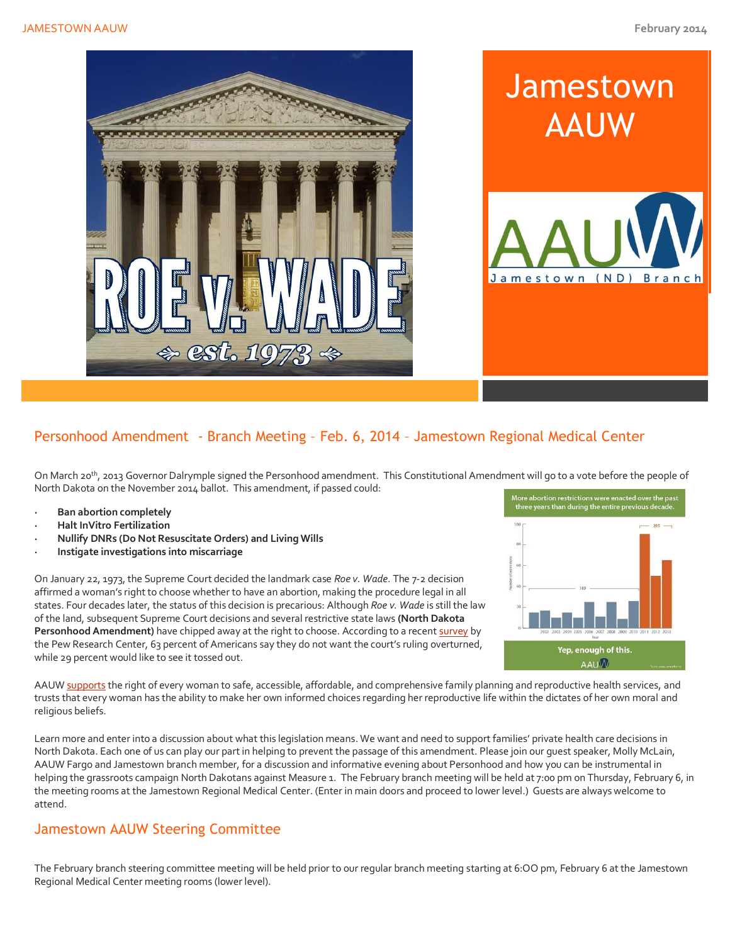



# Personhood Amendment - Branch Meeting – Feb. 6, 2014 – Jamestown Regional Medical Center

On March 20th, 2013 Governor Dalrymple signed the Personhood amendment. This Constitutional Amendment will go to a vote before the people of North Dakota on the November 2014 ballot. This amendment, if passed could:

- **Ban abortion completely**
- **· Halt InVitro Fertilization**
- **· Nullify DNRs (Do Not Resuscitate Orders) and Living Wills**
- **· Instigate investigations into miscarriage**

On January 22, 1973, the Supreme Court decided the landmark case *Roe v. Wade*. The 7-2 decision affirmed a woman's right to choose whether to have an abortion, making the procedure legal in all states. Four decades later, the status of this decision is precarious: Although *Roe v. Wade* is still the law of the land, subsequent Supreme Court decisions and several restrictive state laws **(North Dakota**  Personhood Amendment) have chipped away at the right to choose. According to a recen[t survey](http://www.politico.com/story/2013/01/abortion-poll-keep-roe-v-wade-86295.html?hp=r2) by the Pew Research Center, 63 percent of Americans say they do not want the court's ruling overturned, while 29 percent would like to see it tossed out.



AAU[W supports](http://www.aauw.org/resource/principles-and-priorities/) the right of every woman to safe, accessible, affordable, and comprehensive family planning and reproductive health services, and trusts that every woman has the ability to make her own informed choices regarding her reproductive life within the dictates of her own moral and religious beliefs.

Learn more and enter into a discussion about what this legislation means. We want and need to support families' private health care decisions in North Dakota. Each one of us can play our part in helping to prevent the passage of this amendment. Please join our guest speaker, Molly McLain, AAUW Fargo and Jamestown branch member, for a discussion and informative evening about Personhood and how you can be instrumental in helping the grassroots campaign North Dakotans against Measure 1. The February branch meeting will be held at 7:00 pm on Thursday, February 6, in the meeting rooms at the Jamestown Regional Medical Center. (Enter in main doors and proceed to lower level.) Guests are always welcome to attend.

## Jamestown AAUW Steering Committee

The February branch steering committee meeting will be held prior to our regular branch meeting starting at 6:OO pm, February 6 at the Jamestown Regional Medical Center meeting rooms (lower level).